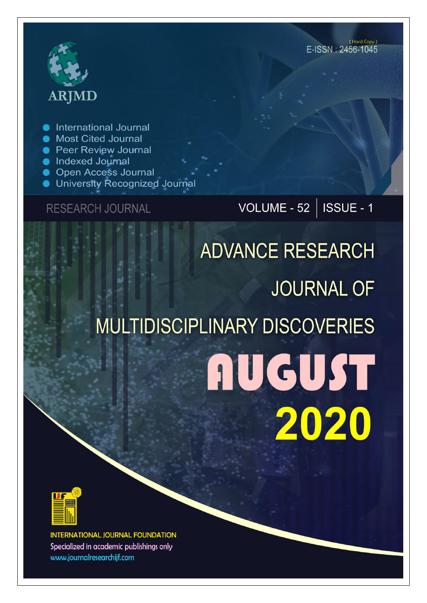

International Journal

- **Most Cited Journal**
- **Peer Review Journal**
- **Indexed Journal**
- **Open Access Journal**
- University Recognized Journal

### **RESEARCH JOURNAL**

VOLUME - 52 | ISSUE - 1

# **ADVANCE RESEARCH JOURNAL OF MULTIDISCIPLINARY DISCOVERIES AUGUST** 2020



**INTERNATIONAL JOURNAL FOUNDATION** Specialized in academic publishings only www.journalresearchijf.com

(Hard Copy)  $F$ -ISSN  $\cdot$  2456-1045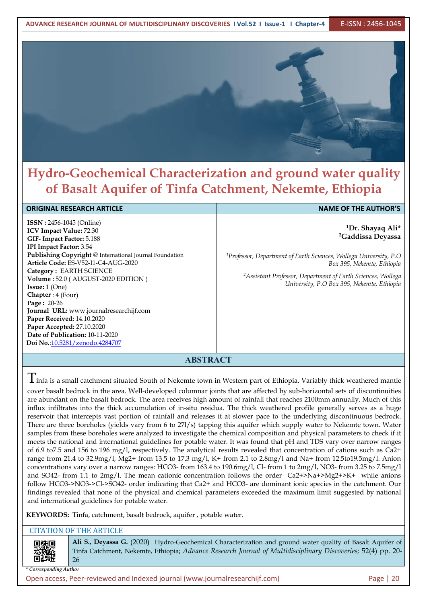

## **Hydro-Geochemical Characterization and ground water quality of Basalt Aquifer of Tinfa Catchment, Nekemte, Ethiopia**

#### **ORIGINAL RESEARCH ARTICLE NAME OF THE AUTHOR'S**

**ISSN :** 2456-1045 (Online) **ICV Impact Value:** 72.30 **GIF- Impact Factor:** 5.188 **IPI Impact Factor:** 3.54 **Publishing Copyright** @ International Journal Foundation **Article Code:** ES-V52-I1-C4-AUG-2020 **Category :** EARTH SCIENCE **Volume :** 52.0 (AUGUST-2020 EDITION ) **Issue:** 1 (One) **Chapter** : 4 (Four) **Page :** 20-26 **Journal URL:** www.journalresearchijf.com **Paper Received:** 14.10.2020 **Paper Accepted:** 27.10.2020 **Date of Publication:** 10-11-2020 **Doi No.**[:10.5281/zenodo.4284707](https://doi.org/10.5281/zenodo.4284707
)

**<sup>1</sup>Dr. Shayaq Ali\* <sup>2</sup>Gaddissa Deyassa**

*<sup>1</sup>Professor, Department ofEarth Sciences, Wollega University, P.O Box 395, Nekemte, Ethiopia*

*<sup>2</sup>Assistant Professor, Department ofEarth Sciences, Wollega University, P.O Box 395, Nekemte, Ethiopia*

#### **ABSTRACT**

 $\rm T$ infa is a small catchment situated South of Nekemte town in Western part of Ethiopia. Variably thick weathered mantle cover basalt bedrock in the area. Well-developed columnar joints that are affected by sub-horizontal sets of discontinuities are abundant on the basalt bedrock. The area receives high amount of rainfall that reaches 2100mm annually. Much of this influx infiltrates into the thick accumulation of in-situ residua. The thick weathered profile generally serves as a huge reservoir that intercepts vast portion of rainfall and releases it at slower pace to the underlying discontinuous bedrock. There are three boreholes (yields vary from 6 to 27l/s) tapping this aquifer which supply water to Nekemte town. Water samples from these boreholes were analyzed to investigate the chemical composition and physical parameters to check if it meets the national and international guidelines for potable water. It was found that pH and TDS vary over narrow ranges of 6.9 to7.5 and 156 to 196 mg/l, respectively. The analytical results revealed that concentration of cations such as Ca2+ range from 21.4 to 32.9mg/l, Mg2+ from 13.5 to 17.3 mg/l, K+ from 2.1 to 2.8mg/l and Na+ from 12.5to19.5mg/l. Anion concentrations vary over a narrow ranges: HCO3- from 163.4 to 190.6mg/l, Cl-from 1 to 2mg/l, NO3- from 3.25 to 7.5mg/l and SO42- from 1.1 to  $2mg/l$ . The mean cationic concentration follows the order  $Ca2+>Na+>Mg2+>K+$  while anions follow HCO3->NO3->Cl->SO42- order indicating that Ca2+ and HCO3- are dominant ionic species in the catchment. Our findings revealed that none of the physical and chemical parameters exceeded the maximum limit suggested by national and international guidelines for potable water.

**KEYWORDS:** Tinfa, catchment, basalt bedrock, aquifer , potable water.

#### CITATION OF THE ARTICLE

Ali S., Deyassa G. (2020) Hydro-Geochemical Characterization and ground water quality of Basalt Aquifer of Tinfa Catchment, Nekemte, Ethiopia; *Advance Research Journal of Multidisciplinary Discoveries;* 52(4) pp. 20- 26

*\* Corresponding Author*

Open access, Peer-reviewed and Indexed journal (www.journalresearchijf.com) Page |20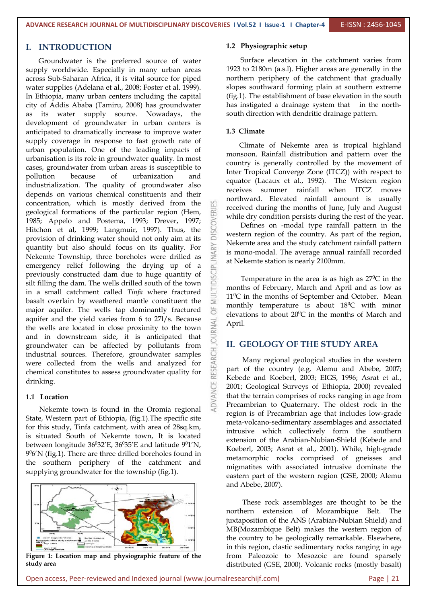#### **I. INTRODUCTION**

Groundwater is the preferred source of water supply worldwide. Especially in many urban areas across Sub-Saharan Africa, it is vital source for piped water supplies (Adelana et al., 2008; Foster et al. 1999). In Ethiopia, many urban centers including the capital city of Addis Ababa (Tamiru, 2008) has groundwater as its water supply source. Nowadays, the development of groundwater in urban centers is anticipated to dramatically increase to improve water supply coverage in response to fast growth rate of urban population. One of the leading impacts of urbanisation is its role in groundwater quality. In most cases, groundwater from urban areas is susceptible to pollution because of urbanization and industrialization. The quality of groundwater also depends on various chemical constituents and their concentration, which is mostly derived from the geological formations of the particular region (Hem, 1985; Appelo and Postema, 1993; Drever, 1997;<br>Hitchon et al, 1999; Langmuir, 1997). Thus, the<br>provision of drinking water should not only aim at its Hitchon et al, 1999; Langmuir, 1997). Thus, the provision of drinking water should not only aim at its<br>quantity but also should focus on its quality. For<br>Nekemte Township, three boreholes were drilled as<br>emergency relief following the drying up of a<br>previously construc quantity but also should focus on its quality. For Nekemte Township, three boreholes were drilled as emergency relief following the drying up of a previously constructed dam due to huge quantity of silt filling the dam. The wells drilled south of the town in a small catchment called *Tinfa* where fractured basalt overlain by weathered mantle constituent the major aquifer. The wells tap dominantly fractured aquifer and the yield varies from 6 to 27l/s. Because<br>the wells are located in close proximity to the town the wells are located in close proximity to the town and in downstream side, it is anticipated that  $\overline{\overline{C}}$ groundwater can be affected by pollutants from industrial sources. Therefore, groundwater samples were collected from the wells and analyzed for chemical constitutes to assess groundwater quality for drinking.

#### **1.1 Location**

Nekemte town is found in the Oromia regional State, Western part of Ethiopia, (fig.1).The specific site for this study, Tinfa catchment, with area of 28sq.km, is situated South of Nekemte town, It is located between longitude  $36^{0}32'E$ ,  $36^{0}35'E$  and latitude  $9^{0}1'N$ ,<br> $9^{0}6'N$  (fig.1). There are three drilled boreholes found in material  $9\%$ 'N (fig.1). There are three drilled boreholes found in the southern periphery of the catchment and supplying groundwater for the township (fig.1).



**Figure 1: Location map and physiographic feature of the study area**

#### **1.2 Physiographic setup**

Surface elevation in the catchment varies from 1923 to 2180m (a.s.l). Higher areas are generally in the northern periphery of the catchment that gradually slopes southward forming plain at southern extreme (fig.1). The establishment of base elevation in the south has instigated a drainage system that in the north south direction with dendritic drainage pattern.

#### **1.3 Climate**

ANCE

Climate of Nekemte area is tropical highland monsoon. Rainfall distribution and pattern over the country is generally controlled by the movement of Inter Tropical Converge Zone (ITCZ)) with respect to equator (Lacaux et al., 1992). The Western region receives summer rainfall when ITCZ moves northward. Elevated rainfall amount is usually received during the months of June, July and August while dry condition persists during the rest of the year.

Defines on -modal type rainfall pattern in the western region of the country. As part of the region, Nekemte area and the study catchment rainfall pattern is mono-modal. The average annual rainfall recorded at Nekemte station is nearly 2100mm.

Temperature in the area is as high as  $27^{\circ}$ C in the months of February, March and April and as low as 11<sup>0</sup>C in the months of September and October. Mean monthly temperature is about  $18^{\circ}$ C with minor elevations to about  $20^{\circ}$ C in the months of March and April.

#### **II. GEOLOGY OF THE STUDY AREA**

Many regional geological studies in the western part of the country (e.g. Alemu and Abebe, 2007; Kebede and Koeberl, 2003; EIGS, 1996; Asrat et al., 2001; Geological Surveys of Ethiopia, 2000) revealed that the terrain comprises of rocks ranging in age from Precambrian to Quaternary. The oldest rock in the region is of Precambrian age that includes low-grade meta-volcano-sedimentary assemblages and associated intrusive which collectively form the southern extension of the Arabian-Nubian-Shield (Kebede and Koeberl, 2003; Asrat et al., 2001). While, high-grade metamorphic rocks comprised of gneisses and migmatites with associated intrusive dominate the eastern part of the western region (GSE, 2000; Alemu and Abebe, 2007).

These rock assemblages are thought to be the northern extension of Mozambique Belt. The juxtaposition of the ANS (Arabian-Nubian Shield) and MB(Mozambique Belt) makes the western region of the country to be geologically remarkable. Elsewhere, in this region, clastic sedimentary rocks ranging in age from Paleozoic to Mesozoic are found sparsely distributed (GSE, 2000). Volcanic rocks (mostly basalt)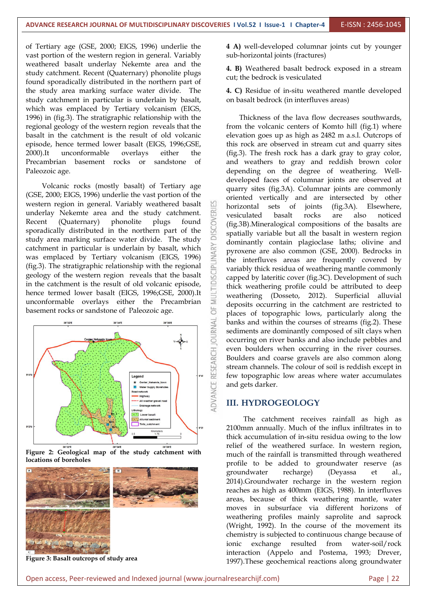of Tertiary age (GSE, 2000; EIGS, 1996) underlie the vast portion of the western region in general. Variably weathered basalt underlay Nekemte area and the study catchment. Recent (Quaternary) phonolite plugs found sporadically distributed in the northern part of the study area marking surface water divide. The study catchment in particular is underlain by basalt, which was emplaced by Tertiary volcanism (EIGS, 1996) in (fig.3). The stratigraphic relationship with the regional geology of the western region reveals that the basalt in the catchment is the result of old volcanic episode, hence termed lower basalt (EIGS, 1996;GSE, 2000).It unconformable overlays either the Precambrian basement rocks or sandstone of Paleozoic age.

Volcanic rocks (mostly basalt) of Tertiary age (GSE, 2000; EIGS, 1996) underlie the vast portion of the western region in general. Variably weathered basalt  $\Box$  horizontal underlay Nekemte area and the study catchment. Recent (Quaternary) phonolite plugs found<br>sporadically distributed in the northern part of the<br>study area marking surface water divide. The study sporadically distributed in the northern part of the study area marking surface water divide. The study<br>catchment in particular is underlain by basalt, which<br>was emplaced by Tertiary volcanism (EIGS, 1996)<br>(fig.3). The stratigraphic relationship with the regional catchment in particular is underlain by basalt, which was emplaced by Tertiary volcanism (EIGS, 1996) (fig.3). The stratigraphic relationship with the regional geology of the western region reveals that the basalt in the catchment is the result of old volcanic episode,  $\Box$ hence termed lower basalt (EIGS, 1996;GSE, 2000).It unconformable overlays either the Precambrian basement rocks or sandstone of Paleozoic age.







**Figure 3: Basalt outcrops of study area**

**4 A)** well-developed columnar joints cut by younger sub-horizontal joints (fractures)

**4. B)** Weathered basalt bedrock exposed in a stream cut; the bedrock is vesiculated

**4. C)** Residue of in-situ weathered mantle developed on basalt bedrock (in interfluves areas)

Thickness of the lava flow decreases southwards, from the volcanic centers of Komto hill (fig.1) where elevation goes up as high as 2482 m a.s.l. Outcrops of this rock are observed in stream cut and quarry sites (fig.3). The fresh rock has a dark gray to gray color, and weathers to gray and reddish brown color depending on the degree of weathering. Well developed faces of columnar joints are observed at quarry sites (fig.3A). Columnar joints are commonly oriented vertically and are intersected by other sets of joints (fig.3A). Elsewhere, vesiculated basalt rocks are also noticed (fig.3B).Mineralogical compositions of the basalts are spatially variable but all the basalt in western region dominantly contain plagioclase laths; olivine and pyroxene are also common (GSE, 2000). Bedrocks in the interfluves areas are frequently covered by variably thick residua of weathering mantle commonly capped by lateritic cover (fig.3C). Development of such thick weathering profile could be attributed to deep weathering (Dosseto, 2012). Superficial alluvial deposits occurring in the catchment are restricted to places of topographic lows, particularly along the banks and within the courses of streams (fig.2). These sediments are dominantly composed of silt clays when occurring on river banks and also include pebbles and even boulders when occurring in the river courses. Boulders and coarse gravels are also common along stream channels. The colour of soil is reddish except in few topographic low areas where water accumulates and gets darker.

#### **III. HYDROGEOLOGY**

The catchment receives rainfall as high as 2100mm annually. Much of the influx infiltrates in to thick accumulation of in-situ residua owing to the low relief of the weathered surface. In western region, much of the rainfall is transmitted through weathered profile to be added to groundwater reserve (as groundwater recharge) (Deyassa et al., 2014).Groundwater recharge in the western region reaches as high as 400mm (EIGS, 1988). In interfluves areas, because of thick weathering mantle, water moves in subsurface via different horizons of weathering profiles mainly saprolite and saprock (Wright, 1992). In the course of the movement its chemistry is subjected to continuous change because of ionic exchange resulted from water-soil/rock interaction (Appelo and Postema, 1993; Drever, 1997).These geochemical reactions along groundwater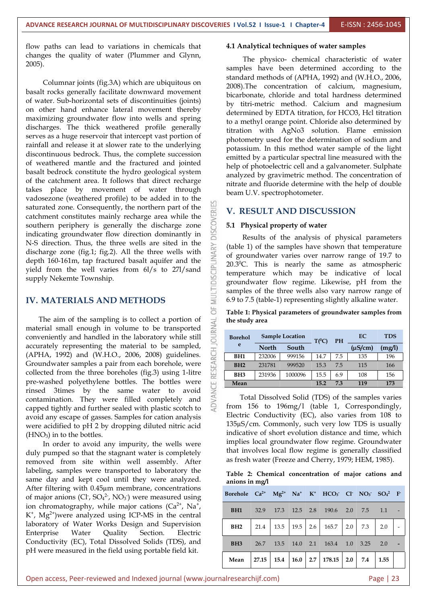flow paths can lead to variations in chemicals that changes the quality of water (Plummer and Glynn,

2005).<br>Columnar joints (fig.3A) which are ubiquitous on basalt rocks generally facilitate downward movement of water. Sub-horizontal sets of discontinuities (joints) on other hand enhance lateral movement thereby maximizing groundwater flow into wells and spring discharges. The thick weathered profile generally serves as a huge reservoir that intercept vast portion of rainfall and release it at slower rate to the underlying discontinuous bedrock. Thus, the complete succession of weathered mantle and the fractured and jointed basalt bedrock constitute the hydro geological system of the catchment area. It follows that direct recharge takes place by movement of water through vadosezone (weathered profile) to be added in to the saturated zone. Consequently, the northern part of the catchment constitutes mainly recharge area while the southern periphery is generally the discharge zone indicating groundwater flow direction dominantly in southern periphery is generally the discharge zone indicating groundwater flow direction dominantly in N-S direction. Thus, the three wells are sited in the discharge zone (fig.1; fig.2). All the three wells with depth 160-161m, tap fractured basalt aquifer and the yield from the well varies from 6l/s to 271/sand discharge zone (fig.1; fig.2). All the three wells with depth 160-161m, tap fractured basalt aquifer and the yield from the well varies from 6l/s to 27l/sand supply Nekemte Township.

## **IV. MATERIALS AND METHODS**

The aim of the sampling is to collect a portion of erial small enough in volume to be transported  $\geq$ material small enough in volume to be transported conveniently and handled in the laboratory while still accurately representing the material to be sampled,<br>(APHA, 1992) and (W.H.O., 2006, 2008) guidelines.<br>Groundwater samples a pair from each borehole, were<br>collected from the three boreholes (fig.3) using 1-litre (APHA, 1992) and (W.H.O., 2006, 2008) guidelines. Groundwater samples a pair from each borehole, were collected from the three boreholes (fig.3) using 1-litre pre-washed polyethylene bottles. The bottles were rinsed 3times by the same water to avoid contamination. They were filled completely and capped tightly and further sealed with plastic scotch to avoid any escape of gasses. Samples for cation analysis were acidified to pH 2 by dropping diluted nitric acid  $(HNO<sub>3</sub>)$  in to the bottles.

In order to avoid any impurity, the wells were duly pumped so that the stagnant water is completely removed from site within well assembly. After labeling, samples were transported to laboratory the same day and kept cool until they were analyzed. After filtering with 0.45µm membrane, concentrations of major anions  $(Cl, SO<sub>4</sub><sup>2</sup>, NO<sub>3</sub>)$  were measured using ion chromatography, while major cations  $(Ca^{2+}$ , Na<sup>+</sup>,  $K^+$ , Mg<sup>2+</sup>)were analyzed using ICP-MS in the central laboratory of Water Works Design and Supervision Enterprise Water Quality Section. Electric Conductivity (EC), Total Dissolved Solids (TDS), and pH were measured in the field using portable field kit.

#### **4.1 Analytical techniques of water samples**

The physico- chemical characteristic of water samples have been determined according to the standard methods of (APHA, 1992) and (W.H.O., 2006, 2008).The concentration of calcium, magnesium, bicarbonate, chloride and total hardness determined by titri-metric method. Calcium and magnesium determined by EDTA titration, for HCO3, Hcl titration to amethyl orange point. Chloride also determined by titration with AgNo3 solution. Flame emission photometry used for the determination of sodium and potassium. In this method water sample of the light emitted by a particular spectral line measured with the help of photoelectric cell and a galvanometer. Sulphate analyzed by gravimetric method. The concentration of nitrate and fluoride determine with the help of double beam U.V. spectrophotometer.

#### **V. RESULT AND DISCUSSION**

#### **5.1 Physical property of water**

Results of the analysis of physical parameters (table 1) of the samples have shown that temperature of groundwater varies over narrow range of 19.7 to 20.3 <sup>0</sup>C. This is nearly the same as atmospheric temperature which may be indicative of local groundwater flow regime. Likewise, pH from the samples of the three wells also vary narrow range of 6.9 to 7.5 (table-1) representing slightly alkaline water.

**Table 1: Physical parameters of groundwater samples from the study area**

| <b>Borehol</b>  |              | <b>Sample Location</b> | $T(^{0}C)$ | <b>PH</b> | EC           | <b>TDS</b> |
|-----------------|--------------|------------------------|------------|-----------|--------------|------------|
| e               | <b>North</b> | South                  |            |           | $(\mu S/cm)$ | (mg/l)     |
| BH <sub>1</sub> | 232006       | 999156                 | 14.7       | 7.5       | 135          | 196        |
| BH2             | 231781       | 999520                 | 15.3       | 7.5       | 115          | 166        |
| BH <sub>3</sub> | 231936       | 1000096                | 15.5       | 6.9       | 108          | 156        |
| Mean            |              |                        | 15.2       | 7.3       | 119          | 173        |

Total Dissolved Solid (TDS) of the samples varies from 156 to 196mg/l (table 1, Correspondingly, Electric Conductivity (EC), also varies from 108 to 135µS/cm. Commonly, such very low TDS is usually indicative of short evolution distance and time, which implies local groundwater flow regime. Groundwater that involves local flow regime is generally classified as fresh water (Freeze and Cherry, 1979; HEM, 1985).

**Table 2: Chemical concentration of major cations and anions in mg/l**

| Borehole $Ca^{2+}$ Mg <sup>2+</sup> Na <sup>+</sup> K <sup>+</sup> HCO <sub>3</sub> <sup>-</sup> Cl <sup>-</sup> NO <sub>3</sub> <sup>-</sup> SO <sub>4</sub> <sup>2</sup> F <sup>-</sup> |  |  |                                                                                 |     |              |  |
|-------------------------------------------------------------------------------------------------------------------------------------------------------------------------------------------|--|--|---------------------------------------------------------------------------------|-----|--------------|--|
| BH <sub>1</sub>                                                                                                                                                                           |  |  | 32.9 17.3 12.5 2.8 190.6 2.0 7.5                                                |     | 1.1          |  |
| BH <sub>2</sub>                                                                                                                                                                           |  |  | $21.4$   13.5   19.5   2.6   165.7   2.0                                        | 7.3 | 2.0          |  |
| BH <sub>3</sub>                                                                                                                                                                           |  |  | 26.7 13.5 14.0 2.1 163.4 1.0 3.25                                               |     | 2.0          |  |
| Mean                                                                                                                                                                                      |  |  | $\mid$ 27.15 $\mid$ 15.4 $\mid$ 16.0 $\mid$ 2.7 $\mid$ 178.15 $\mid$ 2.0 $\mid$ | 7.4 | $\vert$ 1.55 |  |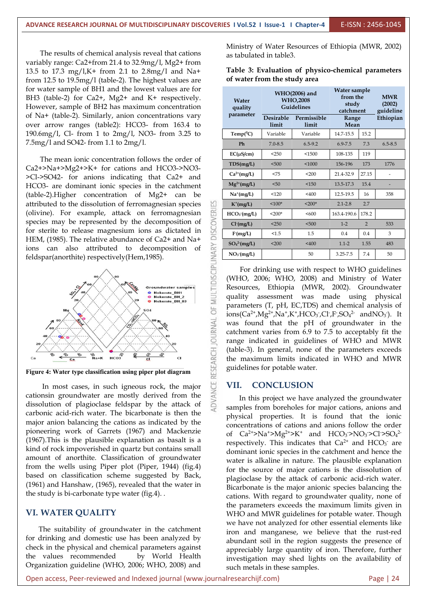The results of chemical analysis reveal that cations variably range: Ca2+from 21.4 to 32.9mg/l, Mg2+ from 13.5 to 17.3 mg/l,K+ from 2.1 to 2.8mg/l and Na+ from 12.5 to  $19.5 \text{mg}/1$  (table-2). The highest values are for water sample of BH1 and the lowest values are for BH3 (table-2) for Ca2+, Mg2+ and K+ respectively. However, sample of BH2 has maximum concentration of Na+ (table-2). Similarly, anion concentrations vary over arrow ranges (table2): HCO3- from 163.4 to 190.6mg/l, Cl- from 1 to 2mg/l, NO3- from 3.25 to 7.5mg/l and SO42- from 1.1 to 2mg/l.

The mean ionic concentration follows the order of Ca2+>Na+>Mg2+>K+ for cations and HCO3->NO3- >Cl->SO42- for anions indicating that Ca2+ and HCO3- are dominant ionic species in the catchment (table-2).Higher concentration of Mg2+ can be attributed to the dissolution of ferromagnesian species<br>(olivine). For example, attack on ferromagnesian species may be represented by the decomposition of<br>for sterite to release magnesium ions as dictated in<br>HEM. (1985). (olivine). For example, attack on ferromagnesian species may be represented by the decomposition of for sterite to release magnesium ions as dictated in ions can also attributed to decomposition of feldspar(anorthite) respectively(Hem,1985).



**Figure 4: Water type classification using piper plot diagram**

In most cases, in such igneous rock, the major  $\bigcup_{i=1}^{n}$  VII.<br>nsin groundwater are mostly derived from the cationsin groundwater are mostly derived from the dissolution of plagioclase feldspar by the attack of carbonic acid-rich water. The bicarbonate is then the major anion balancing the cations as indicated by the pioneering work of Garrets (1967) and Mackenzie (1967).This is the plausible explanation as basalt is a kind of rock impoverished in quartz but contains small amount of anorthite. Classification of groundwater from the wells using Piper plot (Piper, 1944) (fig.4) based on classification scheme suggested by Back, (1961) and Hanshaw, (1965), revealed that the water in the study is bi-carbonate type water (fig.4). .

#### **VI. WATER QUALITY**

The suitability of groundwater in the catchment for drinking and domestic use has been analyzed by check in the physical and chemical parameters against the values recommended by World Health Organization guideline (WHO, 2006; WHO, 2008) and

Ministry of Water Resources of Ethiopia (MWR, 2002) as tabulated in table3.

**Table 3: Evaluation of physico-chemical parameters of water from the study area**

| Water<br>quality<br>parameter |                           | WHO(2006) and<br><b>WHO,2008</b><br>Guidelines | Water sample<br>from the<br>study<br>catchment<br>Range<br>Mean |                | <b>MWR</b><br>(2002)<br>guideline<br>Ethiopian |
|-------------------------------|---------------------------|------------------------------------------------|-----------------------------------------------------------------|----------------|------------------------------------------------|
|                               | <b>Desirable</b><br>limit | Permissible<br>limit                           |                                                                 |                |                                                |
| $Temp(^0C)$                   | Variable                  | Variable                                       | 14.7-15.5                                                       | 15.2           |                                                |
| Ph                            | $7.0 - 8.5$               | $6.5 - 9.2$                                    | $6.9 - 7.5$                                                     | 7.3            | $6.5 - 8.5$                                    |
| $EC(\mu S/cm)$                | < 250                     | < 1500                                         | 108-135                                                         | 119            |                                                |
| TDS(mg/L)                     | < 500                     | 1000                                           | 156-196                                                         | 173            | 1776                                           |
| $Ca^{2+}(mg/L)$               | < 75                      | $200$                                          | 21.4-32.9                                                       | 27.15          |                                                |
| $Mg^{2+}(mg/L)$               | $50$                      | < 150                                          | 13.5-17.3                                                       | 15.4           | -                                              |
| $Na^{+}(mg/L)$                | 120                       | $<$ 400                                        | 12.5-19.5                                                       | 16             | 358                                            |
| $K^+(mg/L)$                   | $100*$                    | $< 200*$                                       | $2.1 - 2.8$                                                     | 2.7            |                                                |
| HCO <sub>3</sub> (mg/L)       | $<$ 200*                  | < 600                                          | 163.4-190.6                                                     | 178.2          |                                                |
| $Cl^{(mg/L)}$                 | < 250                     | < 500                                          | $1-2$                                                           | $\overline{2}$ | 533                                            |
| F(mg/L)                       | < 1.5                     | 1.5                                            | 0.4                                                             | 0.4            | 3                                              |
| $SO_4^2$ -(mg/L)              | $200$                     | < 400                                          | $1.1 - 2$                                                       | 1.55           | 483                                            |
| $NO3$ (mg/L)                  |                           | 50                                             | 3.25-7.5                                                        | 7.4            | 50                                             |

For drinking use with respect to WHO guidelines (WHO, 2006; WHO, 2008) and Ministry of Water Resources, Ethiopia (MWR, 2002). Groundwater quality assessment was made using physical parameters (T, pH, EC,TDS) and chemical analysis of  $\frac{1}{100}$  ions(Ca<sup>2+</sup>,Mg<sup>2+</sup>,Na<sup>+</sup>,K<sup>+</sup>,HCO<sub>3</sub><sup>-</sup>,Cl<sup>-</sup>,F<sup>-</sup>,SO<sub>4</sub><sup>2-</sup> andNO<sub>3</sub><sup>-</sup>). It was found that the pH of groundwater in the catchment varies from 6.9 to 7.5 to acceptably fit the range indicated in guidelines of WHO and MWR (table-3). In general, none of the parameters exceeds the maximum limits indicated in WHO and MWR guidelines for potable water.

#### **VII. CONCLUSION**

In this project we have analyzed the groundwater samples from boreholes for major cations, anions and physical properties. It is found that the ionic concentrations of cations and anions follow the order of  $Ca^{2+} > Na^{+} > Mg^{2+} > K^{+}$  and  $HCO_3 > NO_3 > Cl^{2} > SO_4^{2-}$ respectively. This indicates that  $Ca^{2+}$  and  $HCO_3^-$  are dominant ionic species in the catchment and hence the water is alkaline in nature. The plausible explanation for the source of major cations is the dissolution of plagioclase by the attack of carbonic acid-rich water. Bicarbonate is the major anionic species balancing the cations. With regard to groundwater quality, none of the parameters exceeds the maximum limits given in WHO and MWR guidelines for potable water. Though we have not analyzed for other essential elements like iron and manganese, we believe that the rust-red abundant soil in the region suggests the presence of appreciably large quantity of iron. Therefore, further investigation may shed lights on the availability of such metals in these samples.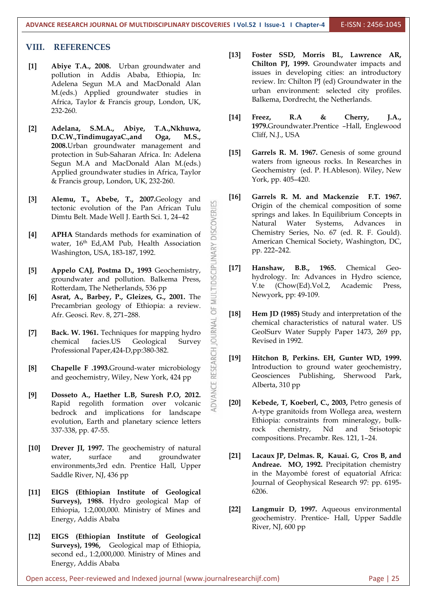#### **VIII. REFERENCES**

- **[1] Abiye T.A., 2008.** Urban groundwater and pollution in Addis Ababa, Ethiopia, In: Adelena Segun M.A and MacDonald Alan M.(eds.) Applied groundwater studies in Africa, Taylor & Francis group, London, UK, 232-260.
- **[2] Adelana, S.M.A., Abiye, T.A.,Nkhuwa, D.C.W.,TindimugayaC.,and Oga, M.S., 2008.**Urban groundwater management and protection in Sub-Saharan Africa. In: Adelena Segun M.A and MacDonald Alan M.(eds.) Applied groundwater studies in Africa, Taylor & Francis group, London, UK, 232-260.
- **[3] Alemu, T., Abebe, T., 2007.**Geology and Dimtu Belt. Made Well J. Earth Sci. 1, 24–42
- tectonic evolution of the Pan African Tulu<br>
Dimtu Belt. Made Well J. Earth Sci. 1, 24–42<br> **APHA** Standards methods for examination of<br>
water, 16<sup>th</sup> Ed,AM Pub, Health Association<br>
Washington, USA, 183-187, 1992.<br> **Appelo C [4] APHA** Standards methods for examination of water,  $16<sup>th</sup>$  Ed,AM Pub, Health Association  $\rightarrow$  America Washington, USA, 183-187, 1992.
- **[5] Appelo CAJ, Postma D., 1993** Geochemistry, groundwater and pollution. Balkema Press, Rotterdam, The Netherlands, 536 pp
- **[6] Asrat, A., Barbey, P., Gleizes, G., 2001.** The Precambrian geology of Ethiopia: a review. Afr. Geosci. Rev. 8, 271–288.
- **Fack. W. 1961.** Techniques for mapping hydro<br>**EXECUTE:**<br>chemical facies.US Geological Survey Professional Paper,424-D,pp:380-382.
- **[8] Chapelle F .1993.**Ground-water microbiology and geochemistry, Wiley, New York, 424 pp
- chemical facies.US Geological Survey<br>
Professional Paper,424-D,pp:380-382.<br>
Chapelle F .1993.Ground-water microbiology<br>
and geochemistry, Wiley, New York, 424 pp<br>
Dosseto A., Haether L.B, Suresh P.O, 2012.<br>
Rapid regolith **[9] Dosseto A., Haether L.B, Suresh P.O, 2012.** Rapid regolith formation over volcanic bedrock and implications for landscape evolution, Earth and planetary science letters 337-338, pp. 47-55.
- **[10] Drever JI, 1997.** The geochemistry of natural water, surface and groundwater [21] environments,3rd edn. Prentice Hall, Upper Saddle River, NJ, 436 pp
- **[11] EIGS (Ethiopian Institute of Geological Surveys), 1988.** Hydro geological Map of Ethiopia, 1:2,000,000. Ministry of Mines and Energy, Addis Ababa
- **[12] EIGS (Ethiopian Institute of Geological Surveys), 1996,** Geological map of Ethiopia, second ed., 1:2,000,000. Ministry of Mines and Energy, Addis Ababa
- **[13] Foster SSD, Morris BL, Lawrence AR, Chilton PJ, 1999.** Groundwater impacts and issues in developing cities: an introductory review. In: Chilton PJ (ed) Groundwater in the urban environment: selected city profiles. Balkema, Dordrecht, the Netherlands.
- **[14] Freez, R.A & Cherry, J.A., 1979.**Groundwater.Prentice –Hall, Englewood Cliff, N.J., USA
- **[15] Garrels R. M. 1967.** Genesis of some ground waters from igneous rocks. In Researches in Geochemistry (ed. P. H.Ableson). Wiley, New York, pp. 405–420.
- **[16] Garrels R. M. and Mackenzie F.T. 1967.** Origin of the chemical composition of some springs and lakes. In Equilibrium Concepts in Natural Water Systems, Advances in Chemistry Series, No. 67 (ed. R. F. Gould). American Chemical Society, Washington, DC, pp. 222–242.
- **[17] Hanshaw, B.B., 1965.** Chemical Geo hydrology. In: Advances in Hydro science, V.te (Chow(Ed).Vol.2, Academic Press, Newyork, pp: 49-109.
- **[18] Hem JD (1985)** Study and interpretation of the chemical characteristics of natural water. US GeolSurv Water Supply Paper 1473, 269 pp, Revised in 1992.
- **[19] Hitchon B, Perkins. EH, Gunter WD,1999.** Introduction to ground water geochemistry, Geosciences Publishing, Sherwood Park, Alberta, 310 pp
- **[20] Kebede, T, Koeberl, C., 2003,** Petro genesis of A-type granitoids from Wollega area, western Ethiopia: constraints from mineralogy, bulk rock chemistry, Nd and Srisotopic compositions. Precambr. Res. 121, 1–24.
- **[21] Lacaux JP, Delmas. R, Kauai. G, Cros B, and Andreae. MO, 1992.** Precipitation chemistry in the Mayombé forest of equatorial Africa: Journal of Geophysical Research 97: pp. 6195- 6206.
- **[22] Langmuir D, 1997.** Aqueous environmental geochemistry. Prentice- Hall, Upper Saddle River, NJ, 600 pp